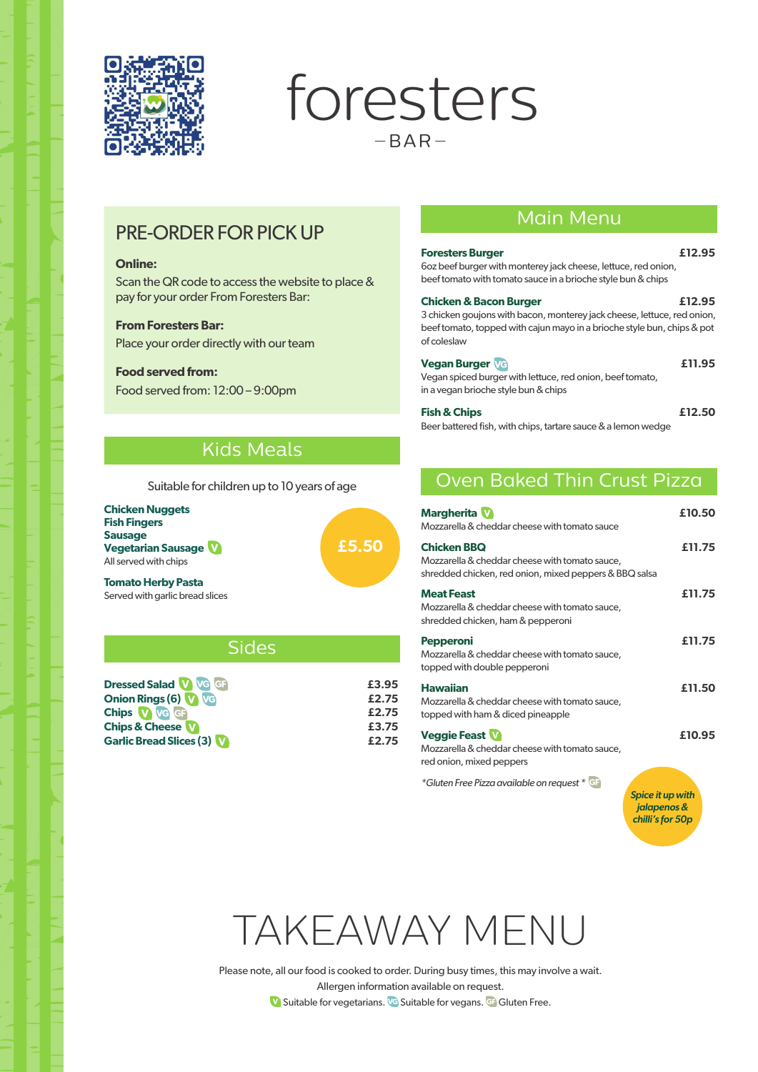

foresters  $-BAR-$ 

# PRE-ORDER FOR PICK UP

### **Online:**

Scan the QR code to access the website to place & pay for your order From Foresters Bar:

### **From Foresters Bar:**

Place your order directly with our team

### **Food served from:**

Food served from: 12:00 – 9:00pm

### Main Menu

| <b>Foresters Burger</b><br>6oz beef burger with monterey jack cheese, lettuce, red onion,<br>beef tomato with tomato sauce in a brioche style bun & chips                                              | £12.95 |
|--------------------------------------------------------------------------------------------------------------------------------------------------------------------------------------------------------|--------|
| <b>Chicken &amp; Bacon Burger</b><br>3 chicken goujons with bacon, monterey jack cheese, lettuce, red onion,<br>beef tomato, topped with cajun mayo in a brioche style bun, chips & pot<br>of coleslaw | £12.95 |
| <b>Vegan Burger VG</b><br>Vegan spiced burger with lettuce, red onion, beef tomato,<br>in a vegan brioche style bun & chips                                                                            | £11.95 |

| <b>Fish &amp; Chips</b>                                       | £12.50 |
|---------------------------------------------------------------|--------|
| Beer battered fish, with chips, tartare sauce & a lemon wedge |        |

## Kids Meals

Suitable for children up to 10 years of age

| <b>Chicken Nuggets</b>          |       |
|---------------------------------|-------|
| <b>Fish Fingers</b>             |       |
| Sausage                         |       |
| <b>Vegetarian Sausage W</b>     | £5.50 |
| All served with chips           |       |
| <b>Tomato Herby Pasta</b>       |       |
| Served with garlic bread slices |       |

Served with garlic bread slices

Sides

| <b>Dressed Salad V VG GB</b>   | £3.95 |
|--------------------------------|-------|
| <b>Onion Rings (6) W VG</b>    | £2.75 |
| Chips V VG GF                  | £2.75 |
| <b>Chips &amp; Cheese W</b>    | £3.75 |
| <b>Garlic Bread Slices (3)</b> | £2.75 |

# Oven Baked Thin Crust Pizza

| <b>Margherita</b><br>Mozzarella & cheddar cheese with tomato sauce                                                             | £10.50                                              |
|--------------------------------------------------------------------------------------------------------------------------------|-----------------------------------------------------|
| <b>Chicken BBQ</b><br>Mozzarella & cheddar cheese with tomato sauce,<br>shredded chicken, red onion, mixed peppers & BBQ salsa | £11.75                                              |
| <b>Meat Feast</b><br>Mozzarella & cheddar cheese with tomato sauce,<br>shredded chicken, ham & pepperoni                       | £11.75                                              |
| <b>Pepperoni</b><br>Mozzarella & cheddar cheese with tomato sauce,<br>topped with double pepperoni                             | £11.75                                              |
| <b>Hawaiian</b><br>Mozzarella & cheddar cheese with tomato sauce,<br>topped with ham & diced pineapple                         | £11.50                                              |
| <b>Veggie Feast</b><br>Mozzarella & cheddar cheese with tomato sauce,<br>red onion, mixed peppers                              | £10.95                                              |
| *Gluten Free Pizza available on request * GF                                                                                   | Spice it up with<br>jalapenos &<br>chilli's for 50p |



Please note, all our food is cooked to order. During busy times, this may involve a wait. Allergen information available on request. **V** Suitable for vegetarians. **V** Suitable for vegans. G Gluten Free.